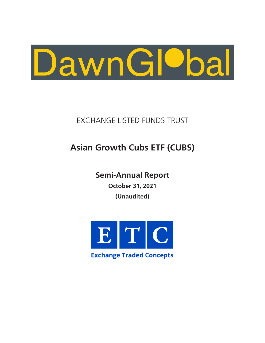

## EXCHANGE LISTED FUNDS TRUST

# **Asian Growth Cubs ETF (CUBS)**

**Semi-Annual Report October 31, 2021 (Unaudited)**

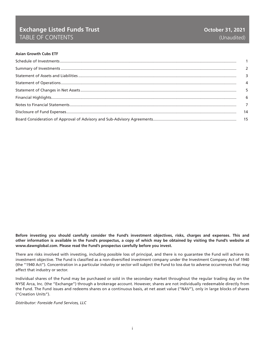### **Exchange Listed Funds Trust TABLE OF CONTENTS**

#### **Asian Growth Cubs ETF**

Before investing you should carefully consider the Fund's investment objectives, risks, charges and expenses. This and other information is available in the Fund's prospectus, a copy of which may be obtained by visiting the Fund's website at www.dawnglobal.com. Please read the Fund's prospectus carefully before you invest.

There are risks involved with investing, including possible loss of principal, and there is no guarantee the Fund will achieve its investment objective. The Fund is classified as a non-diversified investment company under the Investment Company Act of 1940 (the "1940 Act"). Concentration in a particular industry or sector will subject the Fund to loss due to adverse occurrences that may affect that industry or sector.

Individual shares of the Fund may be purchased or sold in the secondary market throughout the regular trading day on the NYSE Arca, Inc. (the "Exchange") through a brokerage account. However, shares are not individually redeemable directly from the Fund. The Fund issues and redeems shares on a continuous basis, at net asset value ("NAV"), only in large blocks of shares ("Creation Units").

Distributor: Foreside Fund Services, LLC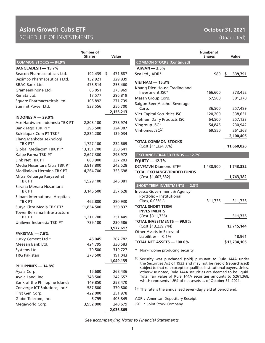### **Asian Growth Cubs ETF** SCHEDULE OF INVESTMENTS

|                                            | <b>Number of</b> |               |
|--------------------------------------------|------------------|---------------|
|                                            | <b>Shares</b>    | Value         |
| <b>COMMON STOCKS - 84.9%</b>               |                  |               |
| <b>BANGLADESH - 15.7%</b>                  |                  |               |
| Beacon Pharmaceuticals Ltd.                | 192,439          | \$<br>471,687 |
| Beximco Pharmaceuticals Ltd.               | 132,921          | 329,839       |
| <b>BRAC Bank Ltd.</b>                      | 473,514          | 255,460       |
| GrameenPhone Ltd.                          | 66,051           | 273,969       |
| Renata Ltd.                                | 17,577           | 296,819       |
| Square Pharmaceuticals Ltd.                | 106,892          | 271,739       |
| Summit Power Ltd.                          | 533,556          | 256,700       |
|                                            |                  | 2,156,213     |
| <b>INDONESIA - 29.0%</b>                   |                  |               |
| Ace Hardware Indonesia TBK PT              | 2,803,100        | 278,974       |
| Bank Jago TBK PT*                          | 296,500          | 324,387       |
| Bukalapak.Com PT TBK*                      | 2,834,200        | 139,034       |
| Elang Mahkota Teknologi                    |                  |               |
| TBK PT*                                    | 1,727,100        | 234,669       |
| Global Mediacom TBK PT*                    | 13,151,700       | 250,641       |
| Kalbe Farma TBK PT                         | 2,647,300        | 298,972       |
| Link Net TBK PT                            | 863,900          | 237,203       |
| Media Nusantara Citra TBK PT               | 3,817,800        | 242,528       |
| Medikaloka Hermina TBK PT                  | 4,264,700        | 353,698       |
| Mitra Keluarga Karyasehat                  |                  |               |
| <b>TRK PT</b>                              | 1,529,100        | 246,081       |
| Sarana Menara Nusantara                    |                  |               |
| <b>TBK PT</b>                              | 3,146,500        | 257,628       |
| Siloam International Hospitals             |                  |               |
| <b>TBK PT</b>                              | 462,800          | 280,930       |
| Surya Citra Media TBK PT*                  | 11,834,500       | 350,837       |
| Tower Bersama Infrastructure               |                  |               |
| <b>TBK PT</b><br>Unilever Indonesia TBK PT | 1,211,700        | 251,449       |
|                                            | 739,100          | 230,586       |
| PAKISTAN $-$ 7.6%                          |                  | 3,977,617     |
|                                            |                  |               |
| Lucky Cement Ltd.*                         | 46,045           | 207,782       |
| Meezan Bank Ltd.                           | 424,795          | 330,583       |
| Systems Ltd.<br><b>TRG Pakistan</b>        | 79,500           | 319,727       |
|                                            | 273,500          | 191,043       |
|                                            |                  | 1,049,135     |
| PHILIPPINES - 14.8%                        |                  |               |
| Ayala Corp.                                | 15,680           | 268,436       |
| Ayala Land, Inc.                           | 348,500          | 242,657       |
| Bank of the Philippine Islands             | 149,850          | 258,470       |
| Converge ICT Solutions, Inc.*              | 587,800          | 370,800       |
| First Gen Corp.                            | 422,000          | 251,978       |
| Globe Telecom, Inc.                        | 6,795            | 403,845       |
| Megaworld Corp.                            | 3,952,000        | 240,679       |
|                                            |                  | 2,036,865     |

### **October 31, 2021** (Unaudited)

|                                                 | <b>Number of</b><br><b>Shares</b> | Value         |
|-------------------------------------------------|-----------------------------------|---------------|
| <b>COMMON STOCKS (Continued)</b>                |                                   |               |
| TAIWAN $-2.5%$                                  |                                   |               |
| Sea Ltd., ADR*                                  | 989                               | \$<br>339,791 |
| <b>VIETNAM - 15.3%</b>                          |                                   |               |
| Khang Dien House Trading and                    |                                   |               |
| Investment JSC*                                 | 166,600                           | 373,452       |
| Masan Group Corp.                               | 57,500                            | 381,370       |
| Saigon Beer Alcohol Beverage                    |                                   |               |
| Corp.                                           | 36,500                            | 257,489       |
| <b>Viet Capital Securities JSC</b>              | 120,200                           | 338,651       |
| <b>Vietnam Dairy Products JSC</b>               | 64,500                            | 257,133       |
| Vingroup JSC*                                   | 54,846                            | 230,942       |
| Vinhomes JSC <sup>(a)</sup>                     | 69,550                            | 261,368       |
|                                                 |                                   | 2,100,405     |
| <b>TOTAL COMMON STOCKS</b>                      |                                   |               |
| (Cost \$11,324,376)                             |                                   | 11,660,026    |
|                                                 |                                   |               |
| <b>EXCHANGE-TRADED FUNDS - 12.7%</b>            |                                   |               |
| <b>EQUITY - 12.7%</b>                           |                                   |               |
| DCVFMVN Diamond ETF*                            | 1,430,900                         | 1,743,382     |
| <b>TOTAL EXCHANGE-TRADED FUNDS</b>              |                                   |               |
| (Cost \$1,603,632)                              |                                   | 1,743,382     |
| <b>SHORT-TERM INVESTMENTS - 2.3%</b>            |                                   |               |
| <b>Invesco Government &amp; Agency</b>          |                                   |               |
| Portfolio - Institutional                       |                                   |               |
| Class, 0.03%(b)                                 | 311,736                           | 311,736       |
| <b>TOTAL SHORT TERM</b>                         |                                   |               |
| <b>INVESTMENTS</b>                              |                                   |               |
| (Cost \$311,736)                                |                                   | 311,736       |
| <b>TOTAL INVESTMENTS - 99.9%</b>                |                                   |               |
| (Cost \$13,239,744)                             |                                   | 13,715,144    |
| Other Assets in Excess of<br>Liabilities - 0.1% |                                   | 18,961        |
| <b>TOTAL NET ASSETS - 100.0%</b>                |                                   | \$13,734,105  |

\* Non-income producing security.

(a) Security was purchased (sold) pursuant to Rule 144A under the Securities Act of 1933 and may not be resold (repurchased) subject to that rule except to qualified institutional buyers. Unless otherwise noted, Rule 144A securities are deemed to be liquid. Total fair value of Rule 144A securities amounts to \$261,368, which represents 1.9% of net assets as of October 31, 2021.

(b) The rate is the annualized seven-day yield at period end.

ADR : American Depositary Receipt

JSC : Joint Stock Company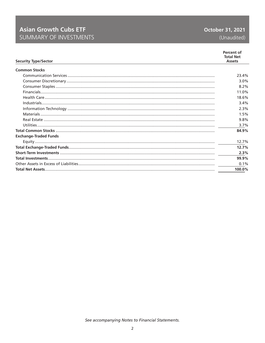### **Asian Growth Cubs ETF** SUMMARY OF INVESTMENTS

| <b>Security Type/Sector</b>  | Percent of<br><b>Total Net</b><br><b>Assets</b> |
|------------------------------|-------------------------------------------------|
| <b>Common Stocks</b>         |                                                 |
|                              | 23.4%                                           |
|                              | $3.0\%$                                         |
|                              | $8.2\%$                                         |
|                              | 11.0%                                           |
|                              | 18.6%                                           |
|                              | $3.4\%$                                         |
|                              | 2.3%                                            |
|                              | 1.5%                                            |
|                              | 9.8%                                            |
|                              | 3.7%                                            |
|                              | 84.9%                                           |
| <b>Exchange-Traded Funds</b> |                                                 |
|                              | 12.7%                                           |
|                              | 12.7%                                           |
|                              | 2.3%                                            |
|                              | 99.9%                                           |
|                              | $0.1\%$                                         |
|                              | 100.0%                                          |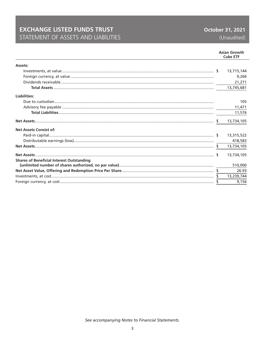### **EXCHANGE LISTED FUNDS TRUST** STATEMENT OF ASSETS AND LIABILITIES

|                                                  | <b>Asian Growth</b><br><b>Cubs ETF</b> |
|--------------------------------------------------|----------------------------------------|
| Assets:                                          |                                        |
|                                                  | 13,715,144                             |
|                                                  | 9,266                                  |
|                                                  | 21,271                                 |
|                                                  | 13,745,681                             |
| Liabilities:                                     |                                        |
|                                                  | 105                                    |
|                                                  | 11,471                                 |
|                                                  | 11,576                                 |
|                                                  | 13,734,105                             |
| <b>Net Assets Consist of:</b>                    |                                        |
|                                                  | 13,315,522                             |
|                                                  | 418,583                                |
|                                                  | 13,734,105                             |
|                                                  | 13,734,105                             |
| <b>Shares of Beneficial Interest Outstanding</b> | 510,000                                |
|                                                  | 26.93                                  |
|                                                  |                                        |
|                                                  | 13,239,744                             |
|                                                  | 9,156                                  |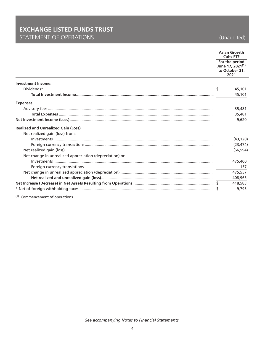### **EXCHANGE LISTED FUNDS TRUST** STATEMENT OF OPERATIONS

(Unaudited)

|                                                          | <b>Asian Growth</b><br><b>Cubs ETF</b>                                   |
|----------------------------------------------------------|--------------------------------------------------------------------------|
|                                                          | For the period<br>June 17, 2021 <sup>(1)</sup><br>to October 31,<br>2021 |
| <b>Investment Income:</b>                                |                                                                          |
|                                                          | 45,101                                                                   |
|                                                          | 45,101                                                                   |
| <b>Expenses:</b>                                         |                                                                          |
|                                                          | 35,481                                                                   |
|                                                          | 35,481                                                                   |
|                                                          | 9,620                                                                    |
| <b>Realized and Unrealized Gain (Loss)</b>               |                                                                          |
| Net realized gain (loss) from:                           |                                                                          |
|                                                          | (43, 120)                                                                |
|                                                          | (23, 474)                                                                |
|                                                          | (66, 594)                                                                |
| Net change in unrealized appreciation (depreciation) on: |                                                                          |
|                                                          | 475,400                                                                  |
|                                                          | 157                                                                      |
|                                                          | 475,557                                                                  |
|                                                          | 408,963                                                                  |
|                                                          | 418,583                                                                  |
|                                                          | 9,793                                                                    |

<sup>(1)</sup> Commencement of operations.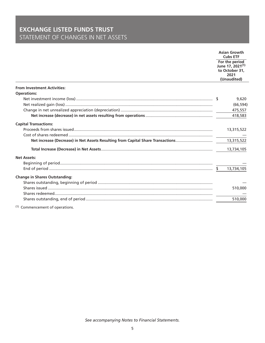### **EXCHANGE LISTED FUNDS TRUST** STATEMENT OF CHANGES IN NET ASSETS

|                                                                                 | <b>Asian Growth</b><br><b>Cubs ETF</b>                                                  |
|---------------------------------------------------------------------------------|-----------------------------------------------------------------------------------------|
|                                                                                 | For the period<br>June 17, 2021 <sup>(1)</sup><br>to October 31,<br>2021<br>(Unaudited) |
| <b>From Investment Activities:</b>                                              |                                                                                         |
| <b>Operations:</b>                                                              |                                                                                         |
|                                                                                 | 9,620                                                                                   |
|                                                                                 | (66, 594)                                                                               |
|                                                                                 | 475,557                                                                                 |
|                                                                                 | 418,583                                                                                 |
| <b>Capital Transactions:</b>                                                    |                                                                                         |
|                                                                                 | 13,315,522                                                                              |
|                                                                                 |                                                                                         |
| Net increase (Decrease) in Net Assets Resulting from Capital Share Transactions | 13,315,522                                                                              |
|                                                                                 | 13,734,105                                                                              |
| <b>Net Assets:</b>                                                              |                                                                                         |
|                                                                                 |                                                                                         |
|                                                                                 | 13,734,105                                                                              |
| <b>Change in Shares Outstanding:</b>                                            |                                                                                         |
|                                                                                 |                                                                                         |
|                                                                                 | 510,000                                                                                 |
|                                                                                 |                                                                                         |
|                                                                                 | 510,000                                                                                 |
|                                                                                 |                                                                                         |

<sup>(1)</sup> Commencement of operations.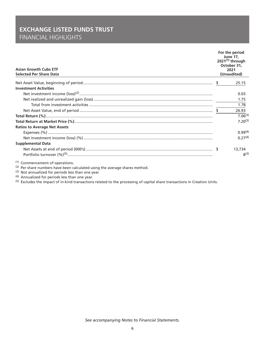### **EXCHANGE LISTED FUNDS TRUST FINANCIAL HIGHLIGHTS**

| <b>Asian Growth Cubs ETF</b><br><b>Selected Per Share Data</b> |  | For the period<br><b>June 17,</b><br>$2021^{(1)}$ through<br>October 31.<br>2021<br>(Unaudited) |  |
|----------------------------------------------------------------|--|-------------------------------------------------------------------------------------------------|--|
|                                                                |  | 25.15                                                                                           |  |
| <b>Investment Activities</b>                                   |  |                                                                                                 |  |
|                                                                |  | 0.03                                                                                            |  |
|                                                                |  | 1.75                                                                                            |  |
|                                                                |  | 1.78                                                                                            |  |
|                                                                |  | 26.93                                                                                           |  |
|                                                                |  | $7.06^{(3)}$                                                                                    |  |
|                                                                |  | $7.20^{(3)}$                                                                                    |  |
| <b>Ratios to Average Net Assets</b>                            |  |                                                                                                 |  |
|                                                                |  | $0.99^{(4)}$                                                                                    |  |
|                                                                |  | $0.27^{(4)}$                                                                                    |  |
| <b>Supplemental Data</b>                                       |  |                                                                                                 |  |
|                                                                |  | 13,734                                                                                          |  |
|                                                                |  | $R^{(3)}$                                                                                       |  |
| (1) Commencement of operations.                                |  |                                                                                                 |  |

(2) Per share numbers have been calculated using the average shares method.

(3) Not annualized for periods less than one year.

(4) Annualized for periods less than one year.<br>(5) Excludes the impact of in-kind transactions related to the processing of capital share transactions in Creation Units.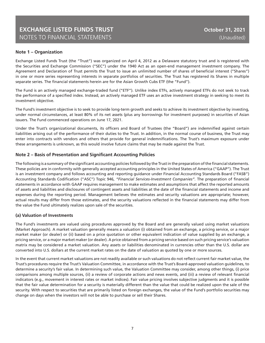### **EXCHANGE LISTED FUNDS TRUST** NOTES TO FINANCIAL STATEMENTS

#### **Note 1 – Organization**

Exchange Listed Funds Trust (the "Trust") was organized on April 4, 2012 as a Delaware statutory trust and is registered with the Securities and Exchange Commission ("SEC") under the 1940 Act as an open-end management investment company. The Agreement and Declaration of Trust permits the Trust to issue an unlimited number of shares of beneficial interest ("Shares") in one or more series representing interests in separate portfolios of securities. The Trust has registered its Shares in multiple separate series. The financial statements herein are for the Asian Growth Cubs ETF (the "Fund").

The Fund is an actively managed exchange-traded fund ("ETF"). Unlike index ETFs, actively managed ETFs do not seek to track the performance of a specified index. Instead, an actively managed ETF uses an active investment strategy in seeking to meet its investment objective.

The Fund's investment objective is to seek to provide long-term growth and seeks to achieve its investment objective by investing, under normal circumstances, at least 80% of its net assets (plus any borrowings for investment purposes) in securities of Asian issuers. The Fund commenced operations on June 17, 2021.

Under the Trust's organizational documents, its officers and Board of Trustees (the "Board") are indemnified against certain liabilities arising out of the performance of their duties to the Trust. In addition, in the normal course of business, the Trust may enter into contracts with vendors and others that provide for general indemnifications. The Trust's maximum exposure under these arrangements is unknown, as this would involve future claims that may be made against the Trust.

#### **Note 2 – Basis of Presentation and Significant Accounting Policies**

The following is a summary of the significant accounting policies followed by the Trust in the preparation of the financial statements. These policies are in conformity with generally accepted accounting principles in the United States of America ("GAAP"). The Trust is an investment company and follows accounting and reporting guidance under Financial Accounting Standards Board ("FASB") Accounting Standards Codification ("ASC") Topic 946, *"Financial Services-Investment Companies".* The preparation of financial statements in accordance with GAAP requires management to make estimates and assumptions that affect the reported amounts of assets and liabilities and disclosures of contingent assets and liabilities at the date of the financial statements and income and expenses during the reporting period. Management believes the estimates and security valuations are appropriate; however, actual results may differ from those estimates, and the security valuations reflected in the financial statements may differ from the value the Fund ultimately realizes upon sale of the securities.

#### **(a) Valuation of Investments**

The Fund's investments are valued using procedures approved by the Board and are generally valued using market valuations (Market Approach). A market valuation generally means a valuation (i) obtained from an exchange, a pricing service, or a major market maker (or dealer) or (ii) based on a price quotation or other equivalent indication of value supplied by an exchange, a pricing service, or a major market maker (or dealer). A price obtained from a pricing service based on such pricing service's valuation matrix may be considered a market valuation. Any assets or liabilities denominated in currencies other than the U.S. dollar are converted into U.S. dollars at the current market rates on the date of valuation as quoted by one or more sources.

In the event that current market valuations are not readily available or such valuations do not reflect current fair market value, the Trust's procedures require the Trust's Valuation Committee, in accordance with the Trust's Board-approved valuation guidelines, to determine a security's fair value. In determining such value, the Valuation Committee may consider, among other things, (i) price comparisons among multiple sources, (ii) a review of corporate actions and news events, and (iii) a review of relevant financial indicators (e.g., movement in interest rates or market indices). Fair value pricing involves subjective judgments and it is possible that the fair value determination for a security is materially different than the value that could be realized upon the sale of the security. With respect to securities that are primarily listed on foreign exchanges, the value of the Fund's portfolio securities may change on days when the investors will not be able to purchase or sell their Shares.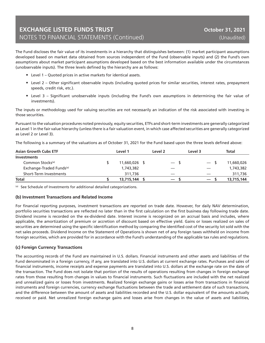### **EXCHANGE LISTED FUNDS TRUST** NOTES TO FINANCIAL STATEMENTS (Continued)

The Fund discloses the fair value of its investments in a hierarchy that distinguishes between: (1) market participant assumptions developed based on market data obtained from sources independent of the Fund (observable inputs) and (2) the Fund's own assumptions about market participant assumptions developed based on the best information available under the circumstances (unobservable inputs). The three levels defined by the hierarchy are as follows:

- Level 1 Quoted prices in active markets for identical assets.
- Level 2 Other significant observable inputs (including quoted prices for similar securities, interest rates, prepayment speeds, credit risk, etc.).
- Level 3 Significant unobservable inputs (including the Fund's own assumptions in determining the fair value of investments).

The inputs or methodology used for valuing securities are not necessarily an indication of the risk associated with investing in those securities.

Pursuant to the valuation procedures noted previously, equity securities, ETFs and short-term investments are generally categorized as Level 1 in the fair value hierarchy (unless there is a fair valuation event, in which case affected securities are generally categorized as Level 2 or Level 3).

The following is a summary of the valuations as of October 31, 2021 for the Fund based upon the three levels defined above:

| <b>Asian Growth Cubs ETF</b>         | Level 1       | Level 2                  | Level 3 | <b>Total</b> |
|--------------------------------------|---------------|--------------------------|---------|--------------|
| <b>Investments</b>                   |               |                          |         |              |
| Common Stocks <sup>(a)</sup>         | 11,660,026    | $\overline{\phantom{0}}$ | $-5$    | 11,660,026   |
| Exchange-Traded Funds <sup>(a)</sup> | 1,743,382     |                          |         | 1,743,382    |
| Short-Term Investments               | 311,736       |                          |         | 311,736      |
| <b>Total</b>                         | 13,715,144 \$ | $\overline{\phantom{0}}$ | $-5$    | 13,715,144   |

(a) See Schedule of Investments for additional detailed categorizations.

#### **(b) Investment Transactions and Related Income**

For financial reporting purposes, investment transactions are reported on trade date. However, for daily NAV determination, portfolio securities transactions are reflected no later than in the first calculation on the first business day following trade date. Dividend income is recorded on the ex-dividend date. Interest income is recognized on an accrual basis and includes, where applicable, the amortization of premium or accretion of discount based on effective yield. Gains or losses realized on sales of securities are determined using the specific identification method by comparing the identified cost of the security lot sold with the net sales proceeds. Dividend Income on the Statement of Operations is shown net of any foreign taxes withheld on income from foreign securities, which are provided for in accordance with the Fund's understanding of the applicable tax rules and regulations.

#### **(c) Foreign Currency Transactions**

The accounting records of the Fund are maintained in U.S. dollars. Financial instruments and other assets and liabilities of the Fund denominated in a foreign currency, if any, are translated into U.S. dollars at current exchange rates. Purchases and sales of financial instruments, income receipts and expense payments are translated into U.S. dollars at the exchange rate on the date of the transaction. The Fund does not isolate that portion of the results of operations resulting from changes in foreign exchange rates from those resulting from changes in values to financial instruments. Such fluctuations are included with the net realized and unrealized gains or losses from investments. Realized foreign exchange gains or losses arise from transactions in financial instruments and foreign currencies, currency exchange fluctuations between the trade and settlement date of such transactions, and the difference between the amount of assets and liabilities recorded and the U.S. dollar equivalent of the amounts actually received or paid. Net unrealized foreign exchange gains and losses arise from changes in the value of assets and liabilities,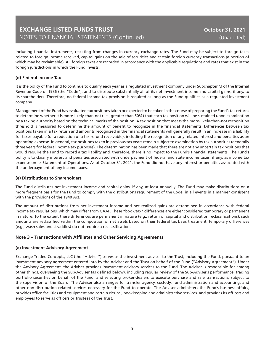including financial instruments, resulting from changes in currency exchange rates. The Fund may be subject to foreign taxes related to foreign income received, capital gains on the sale of securities and certain foreign currency transactions (a portion of which may be reclaimable). All foreign taxes are recorded in accordance with the applicable regulations and rates that exist in the foreign jurisdictions in which the Fund invests.

#### **(d) Federal Income Tax**

It is the policy of the Fund to continue to qualify each year as a regulated investment company under Subchapter M of the Internal Revenue Code of 1986 (the "Code"), and to distribute substantially all of its net investment income and capital gains, if any, to its shareholders. Therefore, no federal income tax provision is required as long as the Fund qualifies as a regulated investment company.

Management of the Fund has evaluated tax positions taken or expected to be taken in the course of preparing the Fund's tax returns to determine whether it is more-likely-than-not (i.e., greater than 50%) that each tax position will be sustained upon examination by a taxing authority based on the technical merits of the position. A tax position that meets the more-likely-than-not recognition threshold is measured to determine the amount of benefit to recognize in the financial statements. Differences between tax positions taken in a tax return and amounts recognized in the financial statements will generally result in an increase in a liability for taxes payable (or a reduction of a tax refund receivable), including the recognition of any related interest and penalties as an operating expense. In general, tax positions taken in previous tax years remain subject to examination by tax authorities (generally three years for federal income tax purposes). The determination has been made that there are not any uncertain tax positions that would require the Fund to record a tax liability and, therefore, there is no impact to the Fund's financial statements. The Fund's policy is to classify interest and penalties associated with underpayment of federal and state income taxes, if any, as income tax expense on its Statement of Operations. As of October 31, 2021, the Fund did not have any interest or penalties associated with the underpayment of any income taxes.

#### **(e) Distributions to Shareholders**

The Fund distributes net investment income and capital gains, if any, at least annually. The Fund may make distributions on a more frequent basis for the Fund to comply with the distributions requirement of the Code, in all events in a manner consistent with the provisions of the 1940 Act.

The amount of distributions from net investment income and net realized gains are determined in accordance with federal income tax regulations, which may differ from GAAP. These "book/tax" differences are either considered temporary or permanent in nature. To the extent these differences are permanent in nature (e.g., return of capital and distribution reclassifications), such amounts are reclassified within the composition of net assets based on their federal tax basis treatment; temporary differences (e.g., wash sales and straddles) do not require a reclassification.

#### **Note 3 – Transactions with Affiliates and Other Servicing Agreements**

#### **(a) Investment Advisory Agreement**

Exchange Traded Concepts, LLC (the "Adviser") serves as the investment adviser to the Trust, including the Fund, pursuant to an investment advisory agreement entered into by the Adviser and the Trust on behalf of the Fund ("Advisory Agreement"). Under the Advisory Agreement, the Adviser provides investment advisory services to the Fund. The Adviser is responsible for among other things, overseeing the Sub-Adviser (as defined below), including regular review of the Sub-Adviser's performance, trading portfolio securities on behalf of the Fund, and selecting broker-dealers to execute purchase and sale transactions, subject to the supervision of the Board. The Adviser also arranges for transfer agency, custody, fund administration and accounting, and other non-distribution related services necessary for the Fund to operate. The Adviser administers the Fund's business affairs, provides office facilities and equipment and certain clerical, bookkeeping and administrative services, and provides its officers and employees to serve as officers or Trustees of the Trust.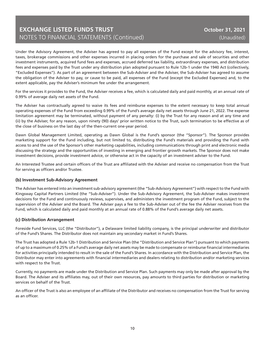### **EXCHANGE LISTED FUNDS TRUST** NOTES TO FINANCIAL STATEMENTS (Continued)

Under the Advisory Agreement, the Adviser has agreed to pay all expenses of the Fund except for the advisory fee, interest, taxes, brokerage commissions and other expenses incurred in placing orders for the purchase and sale of securities and other investment instruments, acquired fund fees and expenses, accrued deferred tax liability, extraordinary expenses, and distribution fees and expenses paid by the Trust under any distribution plan adopted pursuant to Rule 12b-1 under the 1940 Act (collectively, "Excluded Expenses"). As part of an agreement between the Sub-Adviser and the Adviser, the Sub-Adviser has agreed to assume the obligation of the Adviser to pay, or cause to be paid, all expenses of the Fund (except the Excluded Expenses) and, to the extent applicable, pay the Adviser's minimum fee under the arrangement.

For the services it provides to the Fund, the Adviser receives a fee, which is calculated daily and paid monthly, at an annual rate of 0.99% of average daily net assets of the Fund.

The Adviser has contractually agreed to waive its fees and reimburse expenses to the extent necessary to keep total annual operating expenses of the Fund from exceeding 0.99% of the Fund's average daily net assets through June 21, 2022. The expense limitation agreement may be terminated, without payment of any penalty: (i) by the Trust for any reason and at any time and (ii) by the Adviser, for any reason, upon ninety (90) days' prior written notice to the Trust, such termination to be effective as of the close of business on the last day of the then-current one-year period.

Dawn Global Management Limited, operating as Dawn Global is the Fund's sponsor (the "Sponsor"). The Sponsor provides marketing support for the Fund including, but not limited to, distributing the Fund's materials and providing the Fund with access to and the use of the Sponsor's other marketing capabilities, including communications through print and electronic media discussing the strategy and the opportunities of investing in emerging and frontier growth markets. The Sponsor does not make investment decisions, provide investment advice, or otherwise act in the capacity of an investment adviser to the Fund.

An Interested Trustee and certain officers of the Trust are affiliated with the Adviser and receive no compensation from the Trust for serving as officers and/or Trustee.

#### **(b) Investment Sub-Advisory Agreement**

The Adviser has entered into an investment sub-advisory agreement (the "Sub-Advisory Agreement") with respect to the Fund with Kingsway Capital Partners Limited (the "Sub-Adviser"). Under the Sub-Advisory Agreement, the Sub-Adviser makes investment decisions for the Fund and continuously reviews, supervises, and administers the investment program of the Fund, subject to the supervision of the Adviser and the Board. The Adviser pays a fee to the Sub-Adviser out of the fee the Adviser receives from the Fund, which is calculated daily and paid monthly at an annual rate of 0.88% of the Fund's average daily net assets.

#### **(c) Distribution Arrangement**

Foreside Fund Services, LLC (the "Distributor"), a Delaware limited liability company, is the principal underwriter and distributor of the Fund's Shares. The Distributor does not maintain any secondary market in Fund's Shares.

The Trust has adopted a Rule 12b-1 Distribution and Service Plan (the "Distribution and Service Plan") pursuant to which payments of up to a maximum of 0.25% of a Fund's average daily net assets may be made to compensate or reimburse financial intermediaries for activities principally intended to result in the sale of the Fund's Shares. In accordance with the Distribution and Service Plan, the Distributor may enter into agreements with financial intermediaries and dealers relating to distribution and/or marketing services with respect to the Trust.

Currently, no payments are made under the Distribution and Service Plan. Such payments may only be made after approval by the Board. The Adviser and its affiliates may, out of their own resources, pay amounts to third parties for distribution or marketing services on behalf of the Trust.

An officer of the Trust is also an employee of an affiliate of the Distributor and receives no compensation from the Trust for serving as an officer.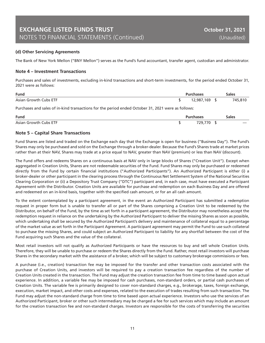#### **(d) Other Servicing Agreements**

The Bank of New York Mellon ("BNY Mellon") serves as the Fund's fund accountant, transfer agent, custodian and administrator.

#### **Note 4 – Investment Transactions**

Purchases and sales of investments, excluding in-kind transactions and short-term investments, for the period ended October 31, 2021 were as follows:

| Fund                  | <b>Purchases</b> |            | <b>Sales</b> |         |
|-----------------------|------------------|------------|--------------|---------|
| Asian Growth Cubs ETF |                  | 12,987,169 |              | 745,810 |

Purchases and sales of in-kind transactions for the period ended October 31, 2021 were as follows:

| <b>Fund</b>                  | :hases | sales |  |
|------------------------------|--------|-------|--|
| <b>Asian Growth Cubs ETF</b> |        |       |  |

#### **Note 5 – Capital Share Transactions**

Fund Shares are listed and traded on the Exchange each day that the Exchange is open for business ("Business Day"). The Fund's Shares may only be purchased and sold on the Exchange through a broker-dealer. Because the Fund's Shares trade at market prices rather than at their NAV, Shares may trade at a price equal to NAV, greater than NAV (premium) or less than NAV (discount).

The Fund offers and redeems Shares on a continuous basis at NAV only in large blocks of Shares ("Creation Unit"). Except when aggregated in Creation Units, Shares are not redeemable securities of the Fund. Fund Shares may only be purchased or redeemed directly from the Fund by certain financial institutions ("Authorized Participants"). An Authorized Participant is either (i) a broker-dealer or other participant in the clearing process through the Continuous Net Settlement System of the National Securities Clearing Corporation or (ii) a Depository Trust Company ("DTC") participant and, in each case, must have executed a Participant Agreement with the Distributor. Creation Units are available for purchase and redemption on each Business Day and are offered and redeemed on an in-kind basis, together with the specified cash amount, or for an all cash amount.

To the extent contemplated by a participant agreement, in the event an Authorized Participant has submitted a redemption request in proper form but is unable to transfer all or part of the Shares comprising a Creation Unit to be redeemed by the Distributor, on behalf of the Fund, by the time as set forth in a participant agreement, the Distributor may nonetheless accept the redemption request in reliance on the undertaking by the Authorized Participant to deliver the missing Shares as soon as possible, which undertaking shall be secured by the Authorized Participant's delivery and maintenance of collateral equal to a percentage of the market value as set forth in the Participant Agreement. A participant agreement may permit the Fund to use such collateral to purchase the missing Shares, and could subject an Authorized Participant to liability for any shortfall between the cost of the Fund acquiring such Shares and the value of the collateral.

Most retail investors will not qualify as Authorized Participants or have the resources to buy and sell whole Creation Units. Therefore, they will be unable to purchase or redeem the Shares directly from the Fund. Rather, most retail investors will purchase Shares in the secondary market with the assistance of a broker, which will be subject to customary brokerage commissions or fees.

A purchase (i.e., creation) transaction fee may be imposed for the transfer and other transaction costs associated with the purchase of Creation Units, and investors will be required to pay a creation transaction fee regardless of the number of Creation Units created in the transaction. The Fund may adjust the creation transaction fee from time to time based upon actual experience. In addition, a variable fee may be imposed for cash purchases, non-standard orders, or partial cash purchases of Creation Units. The variable fee is primarily designed to cover non-standard charges, e.g., brokerage, taxes, foreign exchange, execution, market impact, and other costs and expenses, related to the execution of trades resulting from such transaction. The Fund may adjust the non-standard charge from time to time based upon actual experience. Investors who use the services of an Authorized Participant, broker or other such intermediary may be charged a fee for such services which may include an amount for the creation transaction fee and non-standard charges. Investors are responsible for the costs of transferring the securities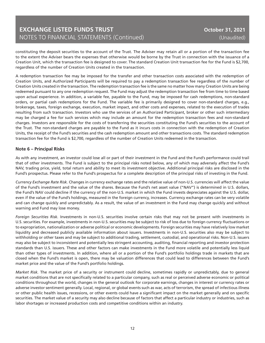### **EXCHANGE LISTED FUNDS TRUST** NOTES TO FINANCIAL STATEMENTS (Continued)

constituting the deposit securities to the account of the Trust. The Adviser may retain all or a portion of the transaction fee to the extent the Adviser bears the expenses that otherwise would be borne by the Trust in connection with the issuance of a Creation Unit, which the transaction fee is designed to cover. The standard Creation Unit transaction fee for the Fund is \$2,700, regardless of the number of Creation Units created in the transaction.

A redemption transaction fee may be imposed for the transfer and other transaction costs associated with the redemption of Creation Units, and Authorized Participants will be required to pay a redemption transaction fee regardless of the number of Creation Units created in the transaction. The redemption transaction fee is the same no matter how many Creation Units are being redeemed pursuant to any one redemption request. The Fund may adjust the redemption transaction fee from time to time based upon actual experience. In addition, a variable fee, payable to the Fund, may be imposed for cash redemptions, non-standard orders, or partial cash redemptions for the Fund. The variable fee is primarily designed to cover non-standard charges, e.g., brokerage, taxes, foreign exchange, execution, market impact, and other costs and expenses, related to the execution of trades resulting from such transaction. Investors who use the services of an Authorized Participant, broker or other such intermediary may be charged a fee for such services which may include an amount for the redemption transaction fees and non-standard charges. Investors are responsible for the costs of transferring the securities constituting the Fund's securities to the account of the Trust. The non-standard charges are payable to the Fund as it incurs costs in connection with the redemption of Creation Units, the receipt of the Fund's securities and the cash redemption amount and other transactions costs. The standard redemption transaction fee for the Fund is \$2,700, regardless of the number of Creation Units redeemed in the transaction.

#### **Note 6 – Principal Risks**

As with any investment, an investor could lose all or part of their investment in the Fund and the Fund's performance could trail that of other investments. The Fund is subject to the principal risks noted below, any of which may adversely affect the Fund's NAV, trading price, yield, total return and ability to meet its investment objective. Additional principal risks are disclosed in the Fund's prospectus. Please refer to the Fund's prospectus for a complete description of the principal risks of investing in the Fund.

*Currency Exchange Rate Risk.* Changes in currency exchange rates and the relative value of non-U.S. currencies will affect the value of the Fund's investment and the value of the shares. Because the Fund's net asset value ("NAV") is determined in U.S. dollars, the Fund's NAV could decline if the currency of the non-U.S. market in which the Fund invests depreciates against the U.S. dollar, even if the value of the Fund's holdings, measured in the foreign currency, increases. Currency exchange rates can be very volatile and can change quickly and unpredictably. As a result, the value of an investment in the Fund may change quickly and without warning and Fund may lose money.

*Foreign Securities Risk.* Investments in non-U.S. securities involve certain risks that may not be present with investments in U.S. securities. For example, investments in non-U.S. securities may be subject to risk of loss due to foreign currency fluctuations or to expropriation, nationalization or adverse political or economic developments. Foreign securities may have relatively low market liquidity and decreased publicly available information about issuers. Investments in non-U.S. securities also may be subject to withholding or other taxes and may be subject to additional trading, settlement, custodial, and operational risks. Non-U.S. issuers may also be subject to inconsistent and potentially less stringent accounting, auditing, financial reporting and investor protection standards than U.S. issuers. These and other factors can make investments in the Fund more volatile and potentially less liquid than other types of investments. In addition, where all or a portion of the Fund's portfolio holdings trade in markets that are closed when the Fund's market is open, there may be valuation differences that could lead to differences between the Fund's market price and the value of the Fund's portfolio holdings.

*Market Risk.* The market price of a security or instrument could decline, sometimes rapidly or unpredictably, due to general market conditions that are not specifically related to a particular company, such as real or perceived adverse economic or political conditions throughout the world, changes in the general outlook for corporate earnings, changes in interest or currency rates or adverse investor sentiment generally. Local, regional, or global events such as war, acts of terrorism, the spread of infectious illness or other public health issues, recessions, or other events could have a significant impact on the market generally and on specific securities. The market value of a security may also decline because of factors that affect a particular industry or industries, such as labor shortages or increased production costs and competitive conditions within an industry.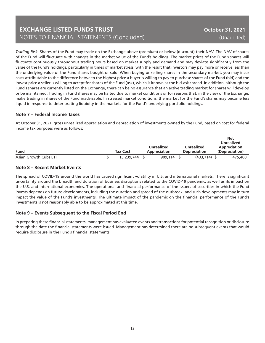### **EXCHANGE LISTED FUNDS TRUST** NOTES TO FINANCIAL STATEMENTS (Concluded)

*Trading Risk.* Shares of the Fund may trade on the Exchange above (premium) or below (discount) their NAV. The NAV of shares of the Fund will fluctuate with changes in the market value of the Fund's holdings. The market prices of the Fund's shares will fluctuate continuously throughout trading hours based on market supply and demand and may deviate significantly from the value of the Fund's holdings, particularly in times of market stress, with the result that investors may pay more or receive less than the underlying value of the Fund shares bought or sold. When buying or selling shares in the secondary market, you may incur costs attributable to the difference between the highest price a buyer is willing to pay to purchase shares of the Fund (bid) and the lowest price a seller is willing to accept for shares of the Fund (ask), which is known as the bid-ask spread. In addition, although the Fund's shares are currently listed on the Exchange, there can be no assurance that an active trading market for shares will develop or be maintained. Trading in Fund shares may be halted due to market conditions or for reasons that, in the view of the Exchange, make trading in shares of the Fund inadvisable. In stressed market conditions, the market for the Fund's shares may become less liquid in response to deteriorating liquidity in the markets for the Fund's underlying portfolio holdings.

#### **Note 7 – Federal Income Taxes**

At October 31, 2021, gross unrealized appreciation and depreciation of investments owned by the Fund, based on cost for federal income tax purposes were as follows:

|                       |                 | Unrealized   | <b>Unrealized</b>   | <b>Net</b><br><b>Unrealized</b> |  |
|-----------------------|-----------------|--------------|---------------------|---------------------------------|--|
| <b>Fund</b>           | <b>Tax Cost</b> | Appreciation | <b>Depreciation</b> | Appreciation<br>(Depreciation)  |  |
| Asian Growth Cubs ETF | 13,239,744      | 909,114      | (433,714).          | 475,400                         |  |

#### **Note 8 – Recent Market Events**

The spread of COVID-19 around the world has caused significant volatility in U.S. and international markets. There is significant uncertainty around the breadth and duration of business disruptions related to the COVID-19 pandemic, as well as its impact on the U.S. and international economies. The operational and financial performance of the issuers of securities in which the Fund invests depends on future developments, including the duration and spread of the outbreak, and such developments may in turn impact the value of the Fund's investments. The ultimate impact of the pandemic on the financial performance of the Fund's investments is not reasonably able to be approximated at this time.

#### **Note 9 – Events Subsequent to the Fiscal Period End**

In preparing these financial statements, management has evaluated events and transactions for potential recognition or disclosure through the date the financial statements were issued. Management has determined there are no subsequent events that would require disclosure in the Fund's financial statements.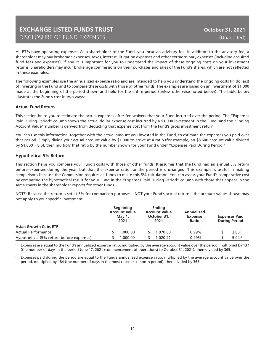All ETFs have operating expenses. As a shareholder of the Fund, you incur an advisory fee. In addition to the advisory fee, a shareholder may pay brokerage expenses, taxes, interest, litigation expenses and other extraordinary expenses (including acquired fund fees and expenses), if any. It is important for you to understand the impact of these ongoing costs on your investment returns. Shareholders may incur brokerage commissions on their purchases and sales of the Fund's shares, which are not reflected in these examples.

The following examples use the annualized expense ratio and are intended to help you understand the ongoing costs (in dollars) of investing in the Fund and to compare these costs with those of other funds. The examples are based on an investment of \$1,000 made at the beginning of the period shown and held for the entire period (unless otherwise noted below). The table below illustrates the Fund's cost in two ways:

#### **Actual Fund Return**

This section helps you to estimate the actual expenses after fee waivers that your Fund incurred over the period. The "Expenses Paid During Period" column shows the actual dollar expense cost incurred by a \$1,000 investment in the Fund, and the "Ending Account Value" number is derived from deducting that expense cost from the Fund's gross investment return.

You can use this information, together with the actual amount you invested in the Fund, to estimate the expenses you paid over that period. Simply divide your actual account value by \$1,000 to arrive at a ratio (for example, an \$8,600 account value divided by \$1,000 = 8.6), then multiply that ratio by the number shown for your Fund under "Expenses Paid During Period."

#### **Hypothetical 5% Return**

This section helps you compare your Fund's costs with those of other funds. It assumes that the Fund had an annual 5% return before expenses during the year, but that the expense ratio for the period is unchanged. This example is useful in making comparisons because the Commission requires all funds to make this 5% calculation. You can assess your Fund's comparative cost by comparing the hypothetical result for your Fund in the "Expenses Paid During Period" column with those that appear in the same charts in the shareholder reports for other funds.

NOTE: Because the return is set at 5% for comparison purposes – NOT your Fund's actual return – the account values shown may not apply to your specific investment.

|                                          | <b>Beginning</b><br><b>Account Value</b><br><b>May 1,</b><br>2021 | Ending<br><b>Account Value</b><br>October 31,<br>2021 | Annualized<br><b>Expense</b><br>Ratio | <b>Expenses Paid</b><br><b>During Period</b> |  |
|------------------------------------------|-------------------------------------------------------------------|-------------------------------------------------------|---------------------------------------|----------------------------------------------|--|
| <b>Asian Growth Cubs ETF</b>             |                                                                   |                                                       |                                       |                                              |  |
| <b>Actual Performance</b>                | 1,000.00                                                          | 1.070.60                                              | $0.99\%$                              | $3.85^{(1)}$                                 |  |
| Hypothetical (5% return before expenses) | 1.000.00                                                          | 1.020.21                                              | $0.99\%$                              | $5.04^{(2)}$                                 |  |

(1) Expenses are equal to the Fund's annualized expense ratio, multiplied by the average account value over the period, multiplied by 137 (the number of days in the period June 17, 2021 (commencement of operations) to October 31, 2021), then divided by 365.

 $^{(2)}$  Expenses paid during the period are equal to the Fund's annualized expense ratio, multiplied by the average account value over the period, multiplied by 184 (the number of days in the most recent six-month period), then divided by 365.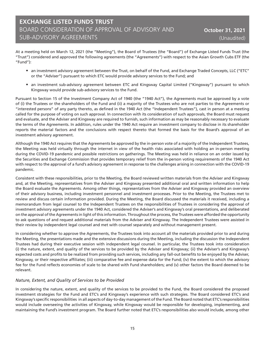### **EXCHANGE LISTED FUNDS TRUST** BOARD CONSIDERATION OF APPROVAL OF ADVISORY AND SUB-ADVISORY AGREEMENTS

At a meeting held on March 12, 2021 (the "Meeting"), the Board of Trustees (the "Board") of Exchange Listed Funds Trust (the "Trust") considered and approved the following agreements (the "Agreements") with respect to the Asian Growth Cubs ETF (the "Fund"):

- an investment advisory agreement between the Trust, on behalf of the Fund, and Exchange Traded Concepts, LLC ("ETC" or the "Adviser") pursuant to which ETC would provide advisory services to the Fund; and
- an investment sub-advisory agreement between ETC and Kingsway Capital Limited ("Kingsway") pursuant to which Kingsway would provide sub-advisory services to the Fund.

Pursuant to Section 15 of the Investment Company Act of 1940 (the "1940 Act"), the Agreements must be approved by a vote of (i) the Trustees or the shareholders of the Fund and (ii) a majority of the Trustees who are not parties to the Agreements or "interested persons" of any party thereto, as defined in the 1940 Act (the "Independent Trustees"), cast in person at a meeting called for the purpose of voting on such approval. In connection with its consideration of such approvals, the Board must request and evaluate, and the Adviser and Kingsway are required to furnish, such information as may be reasonably necessary to evaluate the terms of the Agreements. In addition, rules under the 1940 Act require an investment company to disclose in its shareholder reports the material factors and the conclusions with respect thereto that formed the basis for the Board's approval of an investment advisory agreement.

Although the 1940 Act requires that the Agreements be approved by the in-person vote of a majority of the Independent Trustees, the Meeting was held virtually through the internet in view of the health risks associated with holding an in-person meeting during the COVID-19 pandemic and possible restrictions on gatherings. The Meeting was held in reliance on an order issued by the Securities and Exchange Commission that provides temporary relief from the in-person voting requirements of the 1940 Act with respect to the approval of a fund's advisory agreement in response to the challenges arising in connection with the COVID-19 pandemic.

Consistent with these responsibilities, prior to the Meeting, the Board reviewed written materials from the Adviser and Kingsway and, at the Meeting, representatives from the Adviser and Kingsway presented additional oral and written information to help the Board evaluate the Agreements. Among other things, representatives from the Adviser and Kingsway provided an overview of their advisory business, including investment personnel and investment processes. Prior to the Meeting, the Trustees met to review and discuss certain information provided. During the Meeting, the Board discussed the materials it received, including a memorandum from legal counsel to the Independent Trustees on the responsibilities of Trustees in considering the approval of investment advisory agreements under the 1940 Act, considered the Adviser's and Kingsway's oral presentations, and deliberated on the approval of the Agreements in light of this information. Throughout the process, the Trustees were afforded the opportunity to ask questions of and request additional materials from the Adviser and Kingsway. The Independent Trustees were assisted in their review by independent legal counsel and met with counsel separately and without management present.

In considering whether to approve the Agreements, the Trustees took into account all the materials provided prior to and during the Meeting, the presentations made and the extensive discussions during the Meeting, including the discussion the Independent Trustees had during their executive session with independent legal counsel. In particular, the Trustees took into consideration (i) the nature, extent, and quality of the services to be provided by the Adviser and Kingsway; (ii) the Adviser's and Kingsway's expected costs and profits to be realized from providing such services, including any fall-out benefits to be enjoyed by the Adviser, Kingsway, or their respective affiliates; (iii) comparative fee and expense data for the Fund; (iv) the extent to which the advisory fee for the Fund reflects economies of scale to be shared with Fund shareholders; and (v) other factors the Board deemed to be relevant.

#### *Nature, Extent, and Quality of Services to be Provided*

In considering the nature, extent, and quality of the services to be provided to the Fund, the Board considered the proposed investment strategies for the Fund and ETC's and Kingsway's experience with such strategies. The Board considered ETC's and Kingsway's specific responsibilities in all aspects of day-to-day management of the Fund. The Board noted that ETC's responsibilities would include overseeing the activities of Kingsway, while Kingsway would be responsible for developing, implementing, and maintaining the Fund's investment program. The Board further noted that ETC's responsibilities also would include, among other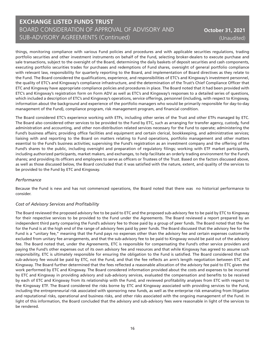### **EXCHANGE LISTED FUNDS TRUST** BOARD CONSIDERATION OF APPROVAL OF ADVISORY AND SUB-ADVISORY AGREEMENTS (Continued)

things, monitoring compliance with various Fund policies and procedures and with applicable securities regulations, trading portfolio securities and other investment instruments on behalf of the Fund, selecting broker-dealers to execute purchase and sale transactions, subject to the oversight of the Board, determining the daily baskets of deposit securities and cash components, executing portfolio securities trades for purchases and redemptions of Fund shares, oversight of general portfolio compliance with relevant law, responsibility for quarterly reporting to the Board, and implementation of Board directives as they relate to the Fund. The Board considered the qualifications, experience, and responsibilities of ETC's and Kingsway's investment personnel, the quality of ETC's and Kingsway's compliance infrastructure, and the determination of the Trust's Chief Compliance Officer that ETC and Kingsway have appropriate compliance policies and procedures in place. The Board noted that it had been provided with ETC's and Kingsway's registration form on Form ADV as well as ETC's and Kingsway's responses to a detailed series of questions, which included a description of ETC's and Kingsway's operations, service offerings, personnel (including, with respect to Kingsway, information about the background and experience of the portfolio managers who would be primarily responsible for day-to-day management of the Fund), compliance program, risk management program, and financial condition.

The Board considered ETC's experience working with ETFs, including other series of the Trust and other ETFs managed by ETC. The Board also considered other services to be provided to the Fund by ETC, such as arranging for transfer agency, custody, fund administration and accounting, and other non-distribution related services necessary for the Fund to operate; administering the Fund's business affairs; providing office facilities and equipment and certain clerical, bookkeeping, and administrative services; liaising with and reporting to the Board on matters relating to Fund operations, portfolio management and other matters essential to the Fund's business activities; supervising the Fund's registration as an investment company and the offering of the Fund's shares to the public, including oversight and preparation of regulatory filings; working with ETF market participants, including authorized participants, market makers, and exchanges, to help facilitate an orderly trading environment for the Fund's shares; and providing its officers and employees to serve as officers or Trustees of the Trust. Based on the factors discussed above, as well as those discussed below, the Board concluded that it was satisfied with the nature, extent, and quality of the services to be provided to the Fund by ETC and Kingsway.

#### *Performance*

Because the Fund is new and has not commenced operations, the Board noted that there was no historical performance to consider.

#### *Cost of Advisory Services and Profitability*

The Board reviewed the proposed advisory fee to be paid to ETC and the proposed sub-advisory fee to be paid by ETC to Kingsway for their respective services to be provided to the Fund under the Agreements. The Board reviewed a report prepared by an independent third party comparing the Fund's advisory fee to those paid by a group of peer funds. The Board noted that the fee for the Fund is at the high end of the range of advisory fees paid by peer funds. The Board discussed that the advisory fee for the Fund is a "unitary fee," meaning that the Fund pays no expenses other than the advisory fee and certain expenses customarily excluded from unitary fee arrangements, and that the sub-advisory fee to be paid to Kingsway would be paid out of the advisory fee. The Board noted that, under the Agreements, ETC is responsible for compensating the Fund's other service providers and paying the Fund's other expenses out of its own advisory fee and resources and that while Kingsway has agreed to assume such responsibility, ETC is ultimately responsible for ensuring the obligation to the Fund is satisfied. The Board considered that the sub-advisory fee would be paid by ETC, not the Fund, and that the fee reflects an arm's length negotiation between ETC and Kingsway. The Board further determined that the fees reflected a reasonable allocation of the advisory fee paid to ETC given the work performed by ETC and Kingsway. The Board considered information provided about the costs and expenses to be incurred by ETC and Kingsway in providing advisory and sub-advisory services, evaluated the compensation and benefits to be received by each of ETC and Kingsway from its relationship with the Fund, and reviewed profitability analyses from ETC with respect to the Kingsway ETF. The Board considered the risks borne by ETC and Kingsway associated with providing services to the Fund, including the entrepreneurial risk associated with sponsoring new funds, as well as the enterprise risk emanating from litigation and reputational risks, operational and business risks, and other risks associated with the ongoing management of the Fund. In light of this information, the Board concluded that the advisory and sub-advisory fees were reasonable in light of the services to be rendered.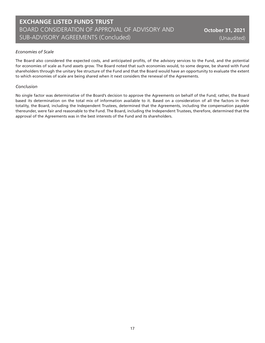#### *Economies of Scale*

The Board also considered the expected costs, and anticipated profits, of the advisory services to the Fund, and the potential for economies of scale as Fund assets grow. The Board noted that such economies would, to some degree, be shared with Fund shareholders through the unitary fee structure of the Fund and that the Board would have an opportunity to evaluate the extent to which economies of scale are being shared when it next considers the renewal of the Agreements.

#### *Conclusion*

No single factor was determinative of the Board's decision to approve the Agreements on behalf of the Fund; rather, the Board based its determination on the total mix of information available to it. Based on a consideration of all the factors in their totality, the Board, including the Independent Trustees, determined that the Agreements, including the compensation payable thereunder, were fair and reasonable to the Fund. The Board, including the Independent Trustees, therefore, determined that the approval of the Agreements was in the best interests of the Fund and its shareholders.